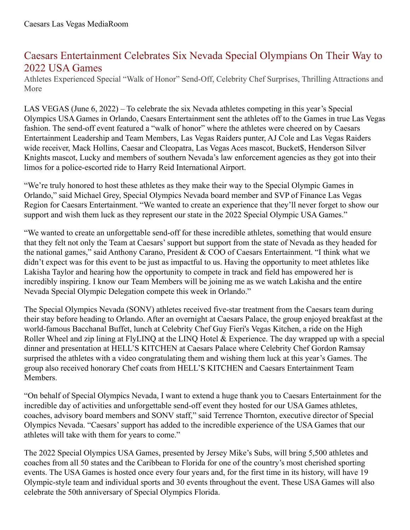## Caesars Entertainment Celebrates Six Nevada Special Olympians On Their Way to 2022 USA Games

Athletes Experienced Special "Walk of Honor" Send-Off, Celebrity Chef Surprises, Thrilling Attractions and More

LAS VEGAS (June 6, 2022) – To celebrate the six Nevada athletes competing in this year's Special Olympics USA Games in Orlando, Caesars Entertainment sent the athletes off to the Games in true Las Vegas fashion. The send-off event featured a "walk of honor" where the athletes were cheered on by Caesars Entertainment Leadership and Team Members, Las Vegas Raiders punter, AJ Cole and Las Vegas Raiders wide receiver, Mack Hollins, Caesar and Cleopatra, Las Vegas Aces mascot, Bucket\$, Henderson Silver Knights mascot, Lucky and members of southern Nevada's law enforcement agencies as they got into their limos for a police-escorted ride to Harry Reid International Airport.

"We're truly honored to host these athletes as they make their way to the Special Olympic Games in Orlando," said Michael Grey, Special Olympics Nevada board member and SVP of Finance Las Vegas Region for Caesars Entertainment. "We wanted to create an experience that they'll never forget to show our support and wish them luck as they represent our state in the 2022 Special Olympic USA Games."

"We wanted to create an unforgettable send-off for these incredible athletes, something that would ensure that they felt not only the Team at Caesars'support but support from the state of Nevada as they headed for the national games," said Anthony Carano, President & COO of Caesars Entertainment. "I think what we didn't expect was for this event to be just as impactful to us. Having the opportunity to meet athletes like Lakisha Taylor and hearing how the opportunity to compete in track and field has empowered her is incredibly inspiring. I know our Team Members will be joining me as we watch Lakisha and the entire Nevada Special Olympic Delegation compete this week in Orlando."

The Special Olympics Nevada (SONV) athletes received five-star treatment from the Caesars team during their stay before heading to Orlando. After an overnight at Caesars Palace, the group enjoyed breakfast at the world-famous Bacchanal Buffet, lunch at Celebrity Chef Guy Fieri's Vegas Kitchen, a ride on the High Roller Wheel and zip lining at FlyLINQ at the LINQ Hotel & Experience. The day wrapped up with a special dinner and presentation at HELL'S KITCHEN at Caesars Palace where Celebrity Chef Gordon Ramsay surprised the athletes with a video congratulating them and wishing them luck at this year's Games. The group also received honorary Chef coats from HELL'S KITCHEN and Caesars Entertainment Team Members.

"On behalf of Special Olympics Nevada, I want to extend a huge thank you to Caesars Entertainment for the incredible day of activities and unforgettable send-off event they hosted for our USA Games athletes, coaches, advisory board members and SONV staff," said Terrence Thornton, executive director of Special Olympics Nevada. "Caesars'support has added to the incredible experience of the USA Games that our athletes will take with them for years to come."

The 2022 Special Olympics USA Games, presented by Jersey Mike's Subs, will bring 5,500 athletes and coaches from all 50 states and the Caribbean to Florida for one of the country's most cherished sporting events. The USA Games is hosted once every four years and, for the first time in its history, will have 19 Olympic-style team and individual sports and 30 events throughout the event. These USA Games will also celebrate the 50th anniversary of Special Olympics Florida.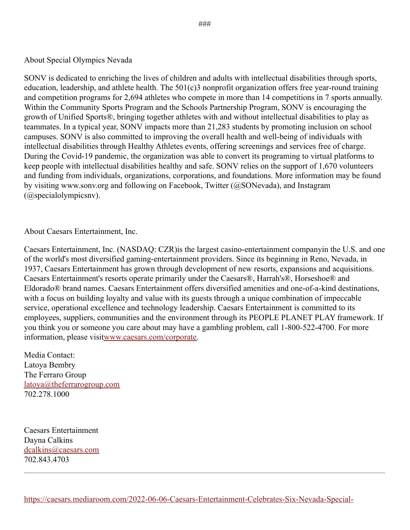## About Special Olympics Nevada

SONV is dedicated to enriching the lives of children and adults with intellectual disabilities through sports, education, leadership, and athlete health. The 501(c)3 nonprofit organization offers free year-round training and competition programs for 2,694 athletes who compete in more than 14 competitions in 7 sports annually. Within the Community Sports Program and the Schools Partnership Program, SONV is encouraging the growth of Unified Sports®, bringing together athletes with and without intellectual disabilities to play as teammates. In a typical year, SONV impacts more than 21,283 students by promoting inclusion on school campuses. SONV is also committed to improving the overall health and well-being of individuals with intellectual disabilities through Healthy Athletes events, offering screenings and services free of charge. During the Covid-19 pandemic, the organization was able to convert its programing to virtual platforms to keep people with intellectual disabilities healthy and safe. SONV relies on the support of 1,670 volunteers and funding from individuals, organizations, corporations, and foundations. More information may be found by visiting www.sonv.org and following on Facebook, Twitter (@SONevada), and Instagram (@specialolympicsnv).

## About Caesars Entertainment, Inc.

Caesars Entertainment, Inc. (NASDAQ: CZR)is the largest casino-entertainment companyin the U.S. and one of the world's most diversified gaming-entertainment providers. Since its beginning in Reno, Nevada, in 1937, Caesars Entertainment has grown through development of new resorts, expansions and acquisitions. Caesars Entertainment's resorts operate primarily under the Caesars®, Harrah's®, Horseshoe® and Eldorado® brand names. Caesars Entertainment offers diversified amenities and one-of-a-kind destinations, with a focus on building loyalty and value with its guests through a unique combination of impeccable service, operational excellence and technology leadership. Caesars Entertainment is committed to its employees, suppliers, communities and the environment through its PEOPLE PLANET PLAY framework. If you think you or someone you care about may have a gambling problem, call 1-800-522-4700. For more information, please visi[twww.caesars.com/corporate](http://www.caesars.com/corporate).

Media Contact: Latoya Bembry The Ferraro Group [latoya@theferrarogroup.com](mailto:latoya@theferrarogroup.com) 702.278.1000

Caesars Entertainment Dayna Calkins [dcalkins@caesars.com](mailto:dcalkins@caesars.com) 702.843.4703